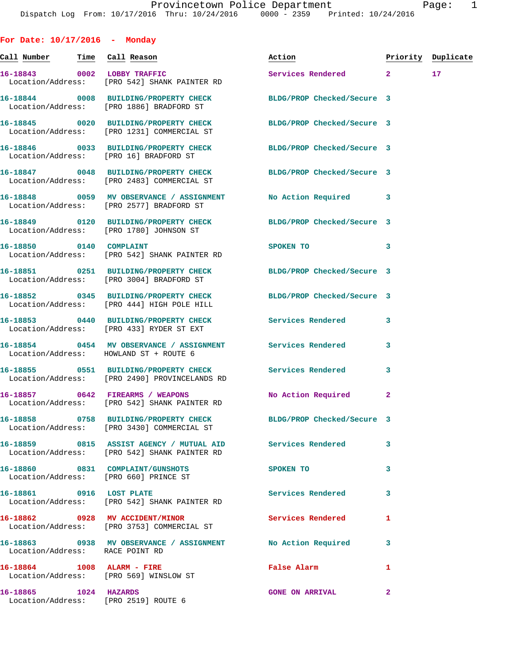**For Date: 10/17/2016 - Monday**

**Call Number Time Call Reason Action Priority Duplicate 16-18843 0002 LOBBY TRAFFIC Services Rendered 2 17**  Location/Address: [PRO 542] SHANK PAINTER RD **16-18844 0008 BUILDING/PROPERTY CHECK BLDG/PROP Checked/Secure 3**  Location/Address: [PRO 1886] BRADFORD ST **16-18845 0020 BUILDING/PROPERTY CHECK BLDG/PROP Checked/Secure 3**  Location/Address: [PRO 1231] COMMERCIAL ST **16-18846 0033 BUILDING/PROPERTY CHECK BLDG/PROP Checked/Secure 3**  Location/Address: [PRO 16] BRADFORD ST **16-18847 0048 BUILDING/PROPERTY CHECK BLDG/PROP Checked/Secure 3**  Location/Address: [PRO 2483] COMMERCIAL ST **16-18848 0059 MV OBSERVANCE / ASSIGNMENT No Action Required 3**  Location/Address: [PRO 2577] BRADFORD ST **16-18849 0120 BUILDING/PROPERTY CHECK BLDG/PROP Checked/Secure 3**  Location/Address: [PRO 1780] JOHNSON ST **16-18850 0140 COMPLAINT SPOKEN TO 3**  Location/Address: [PRO 542] SHANK PAINTER RD **16-18851 0251 BUILDING/PROPERTY CHECK BLDG/PROP Checked/Secure 3**  Location/Address: [PRO 3004] BRADFORD ST **16-18852 0345 BUILDING/PROPERTY CHECK BLDG/PROP Checked/Secure 3**  Location/Address: [PRO 444] HIGH POLE HILL **16-18853 0440 BUILDING/PROPERTY CHECK Services Rendered 3**  Location/Address: [PRO 433] RYDER ST EXT **16-18854 0454 MV OBSERVANCE / ASSIGNMENT Services Rendered 3**  Location/Address: HOWLAND ST + ROUTE 6 **16-18855 0551 BUILDING/PROPERTY CHECK Services Rendered 3**  Location/Address: [PRO 2490] PROVINCELANDS RD 16-18857 0642 FIREARMS / WEAPONS No Action Required 2 Location/Address: [PRO 542] SHANK PAINTER RD **16-18858 0758 BUILDING/PROPERTY CHECK BLDG/PROP Checked/Secure 3**  Location/Address: [PRO 3430] COMMERCIAL ST **16-18859 0815 ASSIST AGENCY / MUTUAL AID Services Rendered 3**  Location/Address: [PRO 542] SHANK PAINTER RD **16-18860 0831 COMPLAINT/GUNSHOTS SPOKEN TO 3**  Location/Address: [PRO 660] PRINCE ST 16-18861 0916 LOST PLATE **16-18861** 3 Location/Address: [PRO 542] SHANK PAINTER RD **16-18862 0928 MV ACCIDENT/MINOR Services Rendered 1**  Location/Address: [PRO 3753] COMMERCIAL ST **16-18863 0938 MV OBSERVANCE / ASSIGNMENT No Action Required 3**  Location/Address: RACE POINT RD **16-18864 1008 ALARM - FIRE False Alarm 1**  Location/Address: [PRO 569] WINSLOW ST **16-18865 1024 HAZARDS GONE ON ARRIVAL 2**  Location/Address: [PRO 2519] ROUTE 6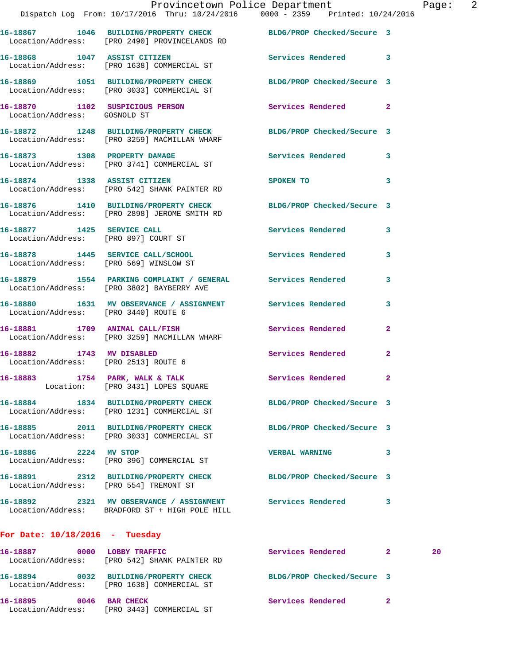|                                        | Provincetown Police Department The Rage: 2<br>Dispatch Log From: 10/17/2016 Thru: 10/24/2016 0000 - 2359 Printed: 10/24/2016 |                       |              |    |  |
|----------------------------------------|------------------------------------------------------------------------------------------------------------------------------|-----------------------|--------------|----|--|
|                                        | 16-18867 1046 BUILDING/PROPERTY CHECK BLDG/PROP Checked/Secure 3<br>Location/Address: [PRO 2490] PROVINCELANDS RD            |                       |              |    |  |
|                                        | 16-18868 1047 ASSIST CITIZEN 5ervices Rendered 3<br>Location/Address: [PRO 1638] COMMERCIAL ST                               |                       |              |    |  |
|                                        | 16-18869 1051 BUILDING/PROPERTY CHECK BLDG/PROP Checked/Secure 3<br>Location/Address: [PRO 3033] COMMERCIAL ST               |                       |              |    |  |
| Location/Address: GOSNOLD ST           | 16-18870 1102 SUSPICIOUS PERSON Services Rendered 2                                                                          |                       |              |    |  |
|                                        | 16-18872 1248 BUILDING/PROPERTY CHECK BLDG/PROP Checked/Secure 3<br>Location/Address: [PRO 3259] MACMILLAN WHARF             |                       |              |    |  |
|                                        | 16-18873 1308 PROPERTY DAMAGE Services Rendered 3<br>Location/Address: [PRO 3741] COMMERCIAL ST                              |                       |              |    |  |
|                                        | 16-18874 1338 ASSIST CITIZEN<br>Location/Address: [PRO 542] SHANK PAINTER RD                                                 | SPOKEN TO<br>$\sim$ 3 |              |    |  |
|                                        | 16-18876 1410 BUILDING/PROPERTY CHECK BLDG/PROP Checked/Secure 3<br>Location/Address: [PRO 2898] JEROME SMITH RD             |                       |              |    |  |
|                                        | 16-18877 1425 SERVICE CALL<br>Location/Address: [PRO 897] COURT ST                                                           | Services Rendered 3   |              |    |  |
| Location/Address: [PRO 569] WINSLOW ST | 16-18878 1445 SERVICE CALL/SCHOOL 5ervices Rendered 3                                                                        |                       |              |    |  |
|                                        | 16-18879 1554 PARKING COMPLAINT / GENERAL Services Rendered 3<br>Location/Address: [PRO 3802] BAYBERRY AVE                   |                       |              |    |  |
|                                        | 16-18880 1631 MV OBSERVANCE / ASSIGNMENT Services Rendered<br>Location/Address: [PRO 3440] ROUTE 6                           |                       | 3            |    |  |
|                                        | 16-18881 1709 ANIMAL CALL/FISH Services Rendered<br>Location/Address: [PRO 3259] MACMILLAN WHARF                             |                       | $\mathbf{2}$ |    |  |
| Location/Address: [PRO 2513] ROUTE 6   | 16-18882 1743 MV DISABLED                                                                                                    | Services Rendered 2   |              |    |  |
|                                        | 16-18883 1754 PARK, WALK & TALK<br>Location: [PRO 3431] LOPES SQUARE                                                         | Services Rendered 2   |              |    |  |
|                                        | 16-18884 1834 BUILDING/PROPERTY CHECK BLDG/PROP Checked/Secure 3<br>Location/Address: [PRO 1231] COMMERCIAL ST               |                       |              |    |  |
|                                        | 16-18885 2011 BUILDING/PROPERTY CHECK BLDG/PROP Checked/Secure 3<br>Location/Address: [PRO 3033] COMMERCIAL ST               |                       |              |    |  |
| 16-18886 2224 MV STOP                  | Location/Address: [PRO 396] COMMERCIAL ST                                                                                    | <b>VERBAL WARNING</b> | 3            |    |  |
|                                        | 16-18891 2312 BUILDING/PROPERTY CHECK BLDG/PROP Checked/Secure 3<br>Location/Address: [PRO 554] TREMONT ST                   |                       |              |    |  |
|                                        | 16-18892 2321 MV OBSERVANCE / ASSIGNMENT Services Rendered 3<br>Location/Address: BRADFORD ST + HIGH POLE HILL               |                       |              |    |  |
| For Date: $10/18/2016$ - Tuesday       |                                                                                                                              |                       |              |    |  |
|                                        | 16-18887 0000 LOBBY TRAFFIC<br>Location/Address: [PRO 542] SHANK PAINTER RD                                                  | Services Rendered 2   |              | 20 |  |
|                                        | 16-18894 0032 BUILDING/PROPERTY CHECK BLDG/PROP Checked/Secure 3<br>Location/Address: [PRO 1638] COMMERCIAL ST               |                       |              |    |  |
| 16-18895 0046 BAR CHECK                |                                                                                                                              | Services Rendered 2   |              |    |  |

Location/Address: [PRO 3443] COMMERCIAL ST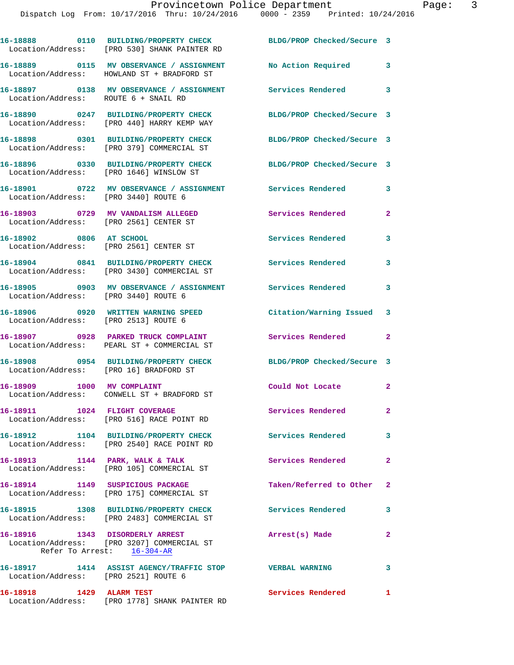|                                                                              | 16-18888 0110 BUILDING/PROPERTY CHECK                                                                       | BLDG/PROP Checked/Secure 3 |                |
|------------------------------------------------------------------------------|-------------------------------------------------------------------------------------------------------------|----------------------------|----------------|
|                                                                              | Location/Address: [PRO 530] SHANK PAINTER RD                                                                |                            |                |
|                                                                              | 16-18889 0115 MV OBSERVANCE / ASSIGNMENT<br>Location/Address: HOWLAND ST + BRADFORD ST                      | No Action Required         | 3              |
| Location/Address: ROUTE 6 + SNAIL RD                                         | 16-18897 0138 MV OBSERVANCE / ASSIGNMENT Services Rendered 3                                                |                            |                |
|                                                                              | 16-18890 0247 BUILDING/PROPERTY CHECK<br>Location/Address: [PRO 440] HARRY KEMP WAY                         | BLDG/PROP Checked/Secure 3 |                |
|                                                                              | 16-18898 0301 BUILDING/PROPERTY CHECK<br>Location/Address: [PRO 379] COMMERCIAL ST                          | BLDG/PROP Checked/Secure 3 |                |
| Location/Address: [PRO 1646] WINSLOW ST                                      | 16-18896 0330 BUILDING/PROPERTY CHECK                                                                       | BLDG/PROP Checked/Secure 3 |                |
| Location/Address: [PRO 3440] ROUTE 6                                         | 16-18901 0722 MV OBSERVANCE / ASSIGNMENT Services Rendered                                                  |                            | 3              |
| 16-18903 0729 MV VANDALISM ALLEGED<br>Location/Address: [PRO 2561] CENTER ST |                                                                                                             | Services Rendered          | $\mathbf{2}$   |
| 16-18902 0806 AT SCHOOL                                                      | Location/Address: [PRO 2561] CENTER ST                                                                      | Services Rendered          | 3              |
|                                                                              | 16-18904 0841 BUILDING/PROPERTY CHECK<br>Location/Address: [PRO 3430] COMMERCIAL ST                         | <b>Services Rendered</b>   | 3              |
| Location/Address: [PRO 3440] ROUTE 6                                         | 16-18905 0903 MV OBSERVANCE / ASSIGNMENT Services Rendered                                                  |                            | 3              |
| Location/Address: [PRO 2513] ROUTE 6                                         | 16-18906 0920 WRITTEN WARNING SPEED                                                                         | Citation/Warning Issued 3  |                |
|                                                                              | 16-18907 0928 PARKED TRUCK COMPLAINT<br>Location/Address: PEARL ST + COMMERCIAL ST                          | Services Rendered          | $\mathbf{2}$   |
| Location/Address: [PRO 16] BRADFORD ST                                       | 16-18908 0954 BUILDING/PROPERTY CHECK                                                                       | BLDG/PROP Checked/Secure 3 |                |
| 16-18909 1000 MV COMPLAINT                                                   | Location/Address: CONWELL ST + BRADFORD ST                                                                  | Could Not Locate           | $\mathbf{2}$   |
|                                                                              | 16-18911 1024 FLIGHT COVERAGE<br>Location/Address: [PRO 516] RACE POINT RD                                  | Services Rendered          | $\mathbf{2}^-$ |
|                                                                              | 16-18912 1104 BUILDING/PROPERTY CHECK<br>Location/Address: [PRO 2540] RACE POINT RD                         | Services Rendered 3        |                |
|                                                                              | 16-18913 1144 PARK, WALK & TALK<br>Location/Address: [PRO 105] COMMERCIAL ST                                | Services Rendered          | $\mathbf{2}$   |
| 16-18914 1149 SUSPICIOUS PACKAGE                                             | Location/Address: [PRO 175] COMMERCIAL ST                                                                   | Taken/Referred to Other 2  |                |
|                                                                              | 16-18915 1308 BUILDING/PROPERTY CHECK<br>Location/Address: [PRO 2483] COMMERCIAL ST                         | Services Rendered          | 3              |
|                                                                              | 16-18916 1343 DISORDERLY ARREST<br>Location/Address: [PRO 3207] COMMERCIAL ST<br>Refer To Arrest: 16-304-AR | Arrest(s) Made             | $\mathbf{2}$   |
| Location/Address: [PRO 2521] ROUTE 6                                         | 16-18917 1414 ASSIST AGENCY/TRAFFIC STOP VERBAL WARNING                                                     |                            | 3              |
| 16-18918 1429 ALARM TEST                                                     | Location/Address: [PRO 1778] SHANK PAINTER RD                                                               | Services Rendered 1        |                |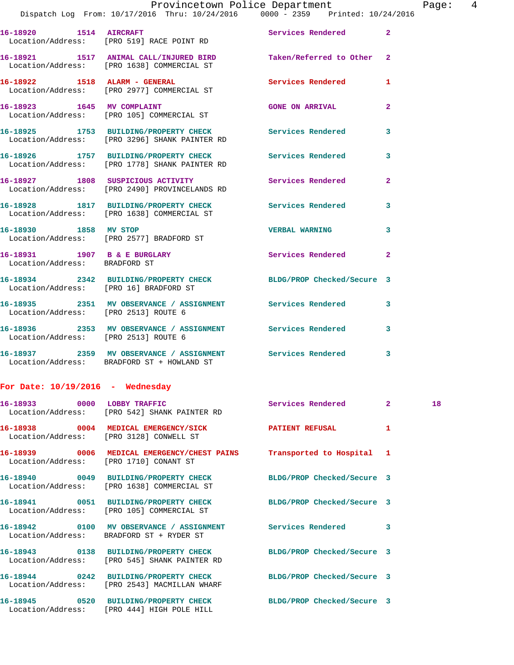**16-18920 1514 AIRCRAFT Services Rendered 2**  Location/Address: [PRO 519] RACE POINT RD **16-18921 1517 ANIMAL CALL/INJURED BIRD Taken/Referred to Other 2**  Location/Address: [PRO 1638] COMMERCIAL ST **16-18922 1518 ALARM - GENERAL Services Rendered 1**  Location/Address: [PRO 2977] COMMERCIAL ST **16-18923 1645 MV COMPLAINT GONE ON ARRIVAL 2**  Location/Address: [PRO 105] COMMERCIAL ST **16-18925 1753 BUILDING/PROPERTY CHECK Services Rendered 3**  Location/Address: [PRO 3296] SHANK PAINTER RD **16-18926 1757 BUILDING/PROPERTY CHECK Services Rendered 3**  Location/Address: [PRO 1778] SHANK PAINTER RD **16-18927 1808 SUSPICIOUS ACTIVITY Services Rendered 2**  Location/Address: [PRO 2490] PROVINCELANDS RD **16-18928 1817 BUILDING/PROPERTY CHECK Services Rendered 3**  Location/Address: [PRO 1638] COMMERCIAL ST **16-18930 1858 MV STOP VERBAL WARNING 3**  Location/Address: [PRO 2577] BRADFORD ST **16-18931 1907 B & E BURGLARY Services Rendered 2**  Location/Address: BRADFORD ST **16-18934 2342 BUILDING/PROPERTY CHECK BLDG/PROP Checked/Secure 3**  Location/Address: [PRO 16] BRADFORD ST **16-18935 2351 MV OBSERVANCE / ASSIGNMENT Services Rendered 3**  Location/Address: [PRO 2513] ROUTE 6 **16-18936 2353 MV OBSERVANCE / ASSIGNMENT Services Rendered 3**  Location/Address: [PRO 2513] ROUTE 6 **16-18937 2359 MV OBSERVANCE / ASSIGNMENT Services Rendered 3**  Location/Address: BRADFORD ST + HOWLAND ST **For Date: 10/19/2016 - Wednesday**

|                                        | Location/Address: [PRO 542] SHANK PAINTER RD                                                                        |              | 18 |
|----------------------------------------|---------------------------------------------------------------------------------------------------------------------|--------------|----|
|                                        | 16-18938 0004 MEDICAL EMERGENCY/SICK PATIENT REFUSAL<br>Location/Address: [PRO 3128] CONWELL ST                     | $\mathbf{1}$ |    |
| Location/Address: [PRO 1710] CONANT ST | 16-18939 0006 MEDICAL EMERGENCY/CHEST PAINS Transported to Hospital 1                                               |              |    |
|                                        | 16-18940 0049 BUILDING/PROPERTY CHECK BLDG/PROP Checked/Secure 3<br>Location/Address: [PRO 1638] COMMERCIAL ST      |              |    |
|                                        | 16-18941  0051 BUILDING/PROPERTY CHECK BLDG/PROP Checked/Secure 3<br>Location/Address: [PRO 105] COMMERCIAL ST      |              |    |
|                                        | 16-18942      0100   MV OBSERVANCE / ASSIGNMENT       Services Rendered<br>Location/Address: BRADFORD ST + RYDER ST | 3            |    |
|                                        | 16-18943 0138 BUILDING/PROPERTY CHECK BLDG/PROP Checked/Secure 3<br>Location/Address: [PRO 545] SHANK PAINTER RD    |              |    |
|                                        | 16-18944 0242 BUILDING/PROPERTY CHECK BLDG/PROP Checked/Secure 3<br>Location/Address: [PRO 2543] MACMILLAN WHARF    |              |    |
|                                        | 16-18945  0520 BUILDING/PROPERTY CHECK BLDG/PROP Checked/Secure 3                                                   |              |    |

Location/Address: [PRO 444] HIGH POLE HILL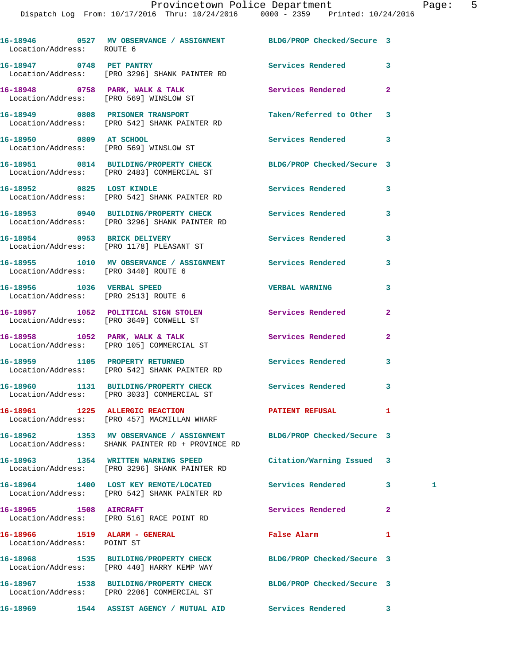Dispatch Log From: 10/17/2016 Thru: 10/24/2016 0000 - 2359 Printed: 10/24/2016

| Location/Address: ROUTE 6                                          | 16-18946 0527 MV OBSERVANCE / ASSIGNMENT BLDG/PROP Checked/Secure 3                                                     |                            |              |              |
|--------------------------------------------------------------------|-------------------------------------------------------------------------------------------------------------------------|----------------------------|--------------|--------------|
| 16-18947 0748 PET PANTRY                                           | Location/Address: [PRO 3296] SHANK PAINTER RD                                                                           | Services Rendered          | 3            |              |
|                                                                    | 16-18948 0758 PARK, WALK & TALK<br>Location/Address: [PRO 569] WINSLOW ST                                               | Services Rendered          | $\mathbf{2}$ |              |
|                                                                    | 16-18949 0808 PRISONER TRANSPORT<br>Location/Address: [PRO 542] SHANK PAINTER RD                                        | Taken/Referred to Other    | 3            |              |
| 16-18950 0809 AT SCHOOL                                            | Location/Address: [PRO 569] WINSLOW ST                                                                                  | Services Rendered          | 3            |              |
|                                                                    | 16-18951 0814 BUILDING/PROPERTY CHECK BLDG/PROP Checked/Secure 3<br>Location/Address: [PRO 2483] COMMERCIAL ST          |                            |              |              |
|                                                                    | 16-18952 0825 LOST KINDLE<br>Location/Address: [PRO 542] SHANK PAINTER RD                                               | Services Rendered          | 3            |              |
|                                                                    | 16-18953 0940 BUILDING/PROPERTY CHECK Services Rendered<br>Location/Address: [PRO 3296] SHANK PAINTER RD                |                            | 3            |              |
|                                                                    | 16-18954 0953 BRICK DELIVERY<br>Location/Address: [PRO 1178] PLEASANT ST                                                | Services Rendered          | 3            |              |
| Location/Address: [PRO 3440] ROUTE 6                               | 16-18955 1010 MV OBSERVANCE / ASSIGNMENT Services Rendered                                                              |                            | 3            |              |
| 16-18956 1036 VERBAL SPEED<br>Location/Address: [PRO 2513] ROUTE 6 |                                                                                                                         | <b>VERBAL WARNING</b>      | 3            |              |
|                                                                    | 16-18957 1052 POLITICAL SIGN STOLEN<br>Location/Address: [PRO 3649] CONWELL ST                                          | Services Rendered          | $\mathbf{2}$ |              |
|                                                                    | 16-18958 1052 PARK, WALK & TALK<br>Location/Address: [PRO 105] COMMERCIAL ST                                            | <b>Services Rendered</b>   | $\mathbf{2}$ |              |
|                                                                    | 16-18959 1105 PROPERTY RETURNED<br>Location/Address: [PRO 542] SHANK PAINTER RD                                         | <b>Services Rendered</b>   | 3            |              |
|                                                                    | 16-18960 1131 BUILDING/PROPERTY CHECK Services Rendered<br>Location/Address: [PRO 3033] COMMERCIAL ST                   |                            | 3            |              |
|                                                                    | 16-18961 1225 ALLERGIC REACTION<br>Location/Address: [PRO 457] MACMILLAN WHARF                                          | <b>PATIENT REFUSAL</b>     | 1            |              |
|                                                                    | 16-18962 1353 MV OBSERVANCE / ASSIGNMENT BLDG/PROP Checked/Secure 3<br>Location/Address: SHANK PAINTER RD + PROVINCE RD |                            |              |              |
|                                                                    | 16-18963 1354 WRITTEN WARNING SPEED<br>Location/Address: [PRO 3296] SHANK PAINTER RD                                    | Citation/Warning Issued    | 3            |              |
|                                                                    | 16-18964 1400 LOST KEY REMOTE/LOCATED<br>Location/Address: [PRO 542] SHANK PAINTER RD                                   | Services Rendered          | 3            | $\mathbf{1}$ |
| 16-18965 1508 AIRCRAFT                                             | Location/Address: [PRO 516] RACE POINT RD                                                                               | Services Rendered          | 2            |              |
| 16-18966 1519 ALARM - GENERAL<br>Location/Address: POINT ST        |                                                                                                                         | False Alarm                | 1            |              |
|                                                                    | 16-18968 1535 BUILDING/PROPERTY CHECK<br>Location/Address: [PRO 440] HARRY KEMP WAY                                     | BLDG/PROP Checked/Secure 3 |              |              |
|                                                                    | 16-18967 1538 BUILDING/PROPERTY CHECK<br>Location/Address: [PRO 2206] COMMERCIAL ST                                     | BLDG/PROP Checked/Secure 3 |              |              |
| 16–18969                                                           | 1544 ASSIST AGENCY / MUTUAL AID                                                                                         | Services Rendered          | 3            |              |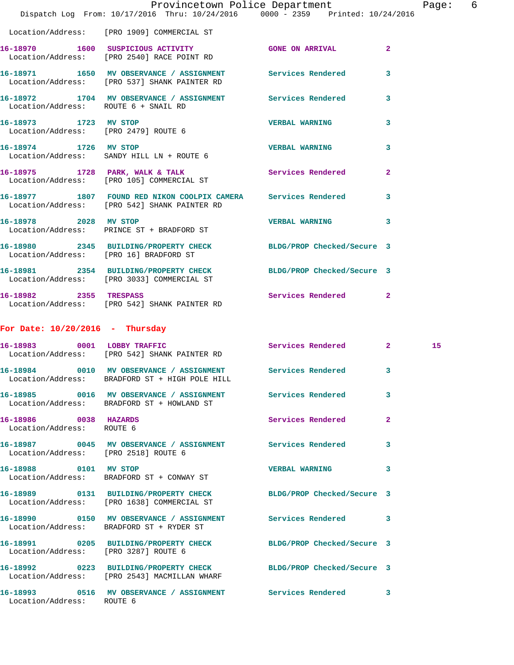|                                                    | Dispatch Log From: 10/17/2016 Thru: 10/24/2016 0000 - 2359 Printed: 10/24/2016                                   | Provincetown Police Department |              | Page: 6 |  |
|----------------------------------------------------|------------------------------------------------------------------------------------------------------------------|--------------------------------|--------------|---------|--|
|                                                    | Location/Address: [PRO 1909] COMMERCIAL ST                                                                       |                                |              |         |  |
|                                                    | 16-18970 1600 SUSPICIOUS ACTIVITY 60NE ON ARRIVAL 2<br>Location/Address: [PRO 2540] RACE POINT RD                |                                |              |         |  |
|                                                    | 16-18971 1650 MV OBSERVANCE / ASSIGNMENT Services Rendered<br>Location/Address: [PRO 537] SHANK PAINTER RD       |                                | 3            |         |  |
| Location/Address: ROUTE 6 + SNAIL RD               | 16-18972 1704 MV OBSERVANCE / ASSIGNMENT Services Rendered 3                                                     |                                |              |         |  |
| 16-18973 1723 MV STOP                              | Location/Address: [PRO 2479] ROUTE 6                                                                             | <b>VERBAL WARNING</b>          | 3            |         |  |
| 16-18974 1726 MV STOP                              | Location/Address: SANDY HILL LN + ROUTE 6                                                                        | <b>VERBAL WARNING</b>          | 3            |         |  |
|                                                    | 16-18975 1728 PARK, WALK & TALK<br>Location/Address: [PRO 105] COMMERCIAL ST                                     | Services Rendered              | $\mathbf{2}$ |         |  |
|                                                    | 16-18977 1807 FOUND RED NIKON COOLPIX CAMERA Services Rendered<br>Location/Address: [PRO 542] SHANK PAINTER RD   |                                | 3            |         |  |
|                                                    | 16-18978 2028 MV STOP<br>Location/Address: PRINCE ST + BRADFORD ST                                               | <b>VERBAL WARNING</b>          | 3            |         |  |
|                                                    | 16-18980 2345 BUILDING/PROPERTY CHECK BLDG/PROP Checked/Secure 3<br>Location/Address: [PRO 16] BRADFORD ST       |                                |              |         |  |
|                                                    | 16-18981 2354 BUILDING/PROPERTY CHECK BLDG/PROP Checked/Secure 3<br>Location/Address: [PRO 3033] COMMERCIAL ST   |                                |              |         |  |
| 16-18982 2355 TRESPASS                             | Location/Address: [PRO 542] SHANK PAINTER RD                                                                     | Services Rendered 2            |              |         |  |
| For Date: $10/20/2016$ - Thursday                  |                                                                                                                  |                                |              |         |  |
|                                                    | 16-18983 0001 LOBBY TRAFFIC<br>Location/Address: [PRO 542] SHANK PAINTER RD                                      | Services Rendered 2            |              | 15      |  |
|                                                    | 16-18984 0010 MV OBSERVANCE / ASSIGNMENT Services Rendered 3<br>Location/Address: BRADFORD ST + HIGH POLE HILL   |                                |              |         |  |
|                                                    | 16-18985 0016 MV OBSERVANCE / ASSIGNMENT Services Rendered<br>Location/Address: BRADFORD ST + HOWLAND ST         |                                | 3            |         |  |
| 16-18986 0038 HAZARDS<br>Location/Address: ROUTE 6 |                                                                                                                  | Services Rendered              | 2            |         |  |
| Location/Address: [PRO 2518] ROUTE 6               | 16-18987 0045 MV OBSERVANCE / ASSIGNMENT Services Rendered                                                       |                                | 3            |         |  |
| 16-18988 0101 MV STOP                              | Location/Address: BRADFORD ST + CONWAY ST                                                                        | <b>VERBAL WARNING</b>          | 3            |         |  |
|                                                    | 16-18989 0131 BUILDING/PROPERTY CHECK BLDG/PROP Checked/Secure 3<br>Location/Address: [PRO 1638] COMMERCIAL ST   |                                |              |         |  |
|                                                    | 16-18990 0150 MV OBSERVANCE / ASSIGNMENT Services Rendered 3<br>Location/Address: BRADFORD ST + RYDER ST         |                                |              |         |  |
| Location/Address: [PRO 3287] ROUTE 6               | 16-18991 0205 BUILDING/PROPERTY CHECK BLDG/PROP Checked/Secure 3                                                 |                                |              |         |  |
|                                                    | 16-18992 0223 BUILDING/PROPERTY CHECK BLDG/PROP Checked/Secure 3<br>Location/Address: [PRO 2543] MACMILLAN WHARF |                                |              |         |  |
| Location/Address: ROUTE 6                          | 16-18993 0516 MV OBSERVANCE / ASSIGNMENT Services Rendered                                                       |                                | 3            |         |  |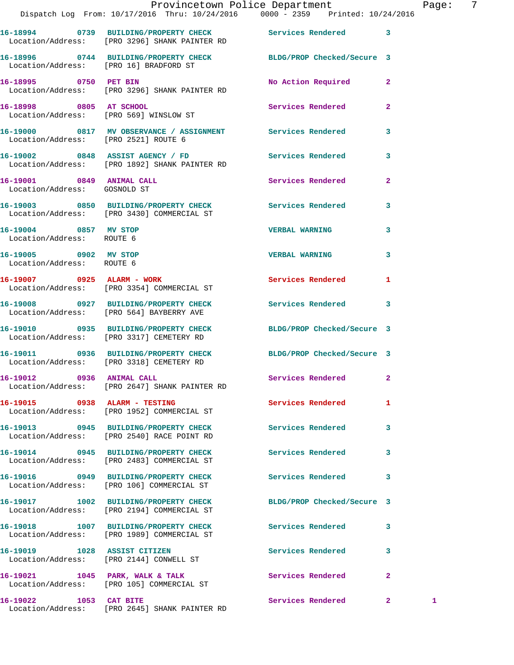|                                                           | Dispatch Log From: 10/17/2016 Thru: 10/24/2016 0000 - 2359 Printed: 10/24/2016                               | Provincetown Police Department Fage: 7 |              |              |  |
|-----------------------------------------------------------|--------------------------------------------------------------------------------------------------------------|----------------------------------------|--------------|--------------|--|
|                                                           | 16-18994 0739 BUILDING/PROPERTY CHECK Services Rendered 3<br>Location/Address: [PRO 3296] SHANK PAINTER RD   |                                        |              |              |  |
|                                                           | 16-18996 0744 BUILDING/PROPERTY CHECK BLDG/PROP Checked/Secure 3<br>Location/Address: [PRO 16] BRADFORD ST   |                                        |              |              |  |
|                                                           | 16-18995 0750 PET BIN<br>Location/Address: [PRO 3296] SHANK PAINTER RD                                       | No Action Required                     | $\mathbf{2}$ |              |  |
| 16-18998 0805 AT SCHOOL                                   | Location/Address: [PRO 569] WINSLOW ST                                                                       | Services Rendered                      | $\mathbf{2}$ |              |  |
|                                                           | 16-19000 0817 MV OBSERVANCE / ASSIGNMENT Services Rendered<br>Location/Address: [PRO 2521] ROUTE 6           |                                        | 3            |              |  |
|                                                           | 16-19002 0848 ASSIST AGENCY / FD Services Rendered<br>Location/Address: [PRO 1892] SHANK PAINTER RD          |                                        | 3            |              |  |
| 16-19001 0849 ANIMAL CALL<br>Location/Address: GOSNOLD ST |                                                                                                              | Services Rendered                      | $\mathbf{2}$ |              |  |
|                                                           | 16-19003 0850 BUILDING/PROPERTY CHECK Services Rendered<br>Location/Address: [PRO 3430] COMMERCIAL ST        |                                        | 3            |              |  |
| 16-19004 0857 MV STOP<br>Location/Address: ROUTE 6        |                                                                                                              | <b>VERBAL WARNING</b>                  | 3            |              |  |
| 16-19005 0902 MV STOP<br>Location/Address: ROUTE 6        |                                                                                                              | <b>VERBAL WARNING</b>                  | 3            |              |  |
|                                                           | 16-19007 0925 ALARM - WORK<br>Location/Address: [PRO 3354] COMMERCIAL ST                                     | Services Rendered 1                    |              |              |  |
|                                                           | 16-19008 0927 BUILDING/PROPERTY CHECK Services Rendered<br>Location/Address: [PRO 564] BAYBERRY AVE          |                                        | 3            |              |  |
|                                                           | 16-19010 0935 BUILDING/PROPERTY CHECK BLDG/PROP Checked/Secure 3<br>Location/Address: [PRO 3317] CEMETERY RD |                                        |              |              |  |
|                                                           | 16-19011 0936 BUILDING/PROPERTY CHECK BLDG/PROP Checked/Secure 3<br>Location/Address: [PRO 3318] CEMETERY RD |                                        |              |              |  |
| 16-19012 0936 ANIMAL CALL                                 | Location/Address: [PRO 2647] SHANK PAINTER RD                                                                | Services Rendered 2                    |              |              |  |
|                                                           | 16-19015 0938 ALARM - TESTING<br>Location/Address: [PRO 1952] COMMERCIAL ST                                  | <b>Services Rendered</b>               | $\mathbf{1}$ |              |  |
|                                                           | 16-19013 0945 BUILDING/PROPERTY CHECK<br>Location/Address: [PRO 2540] RACE POINT RD                          | <b>Services Rendered</b>               | 3            |              |  |
|                                                           | 16-19014 0945 BUILDING/PROPERTY CHECK<br>Location/Address: [PRO 2483] COMMERCIAL ST                          | <b>Services Rendered</b>               | 3            |              |  |
|                                                           | 16-19016 0949 BUILDING/PROPERTY CHECK Services Rendered<br>Location/Address: [PRO 106] COMMERCIAL ST         |                                        | $\mathbf{3}$ |              |  |
|                                                           | 16-19017 1002 BUILDING/PROPERTY CHECK<br>Location/Address: [PRO 2194] COMMERCIAL ST                          | BLDG/PROP Checked/Secure 3             |              |              |  |
|                                                           | 16-19018 1007 BUILDING/PROPERTY CHECK Services Rendered<br>Location/Address: [PRO 1989] COMMERCIAL ST        |                                        | 3            |              |  |
|                                                           | 16-19019 1028 ASSIST CITIZEN<br>Location/Address: [PRO 2144] CONWELL ST                                      | Services Rendered                      | 3            |              |  |
|                                                           | 16-19021 1045 PARK, WALK & TALK<br>Location/Address: [PRO 105] COMMERCIAL ST                                 | Services Rendered                      | $\mathbf{2}$ |              |  |
| 16-19022 1053 CAT BITE                                    |                                                                                                              | Services Rendered 2                    |              | $\mathbf{1}$ |  |

Location/Address: [PRO 2645] SHANK PAINTER RD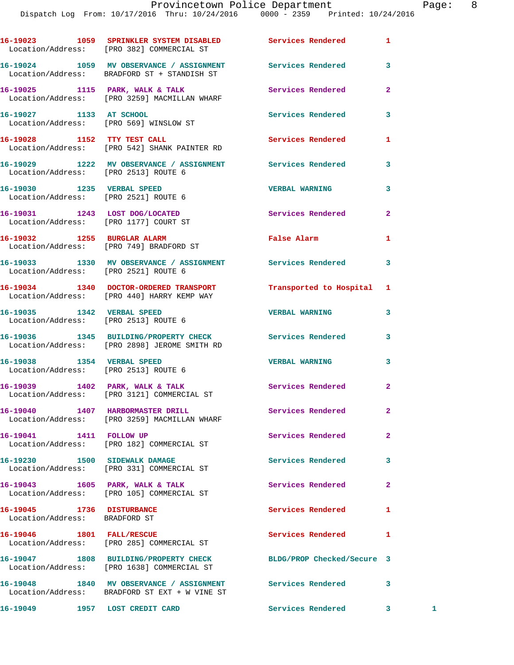|                                                            | 16-19023 1059 SPRINKLER SYSTEM DISABLED Services Rendered<br>Location/Address: [PRO 382] COMMERCIAL ST      |                            | 1              |   |
|------------------------------------------------------------|-------------------------------------------------------------------------------------------------------------|----------------------------|----------------|---|
|                                                            | 16-19024 1059 MV OBSERVANCE / ASSIGNMENT Services Rendered<br>Location/Address: BRADFORD ST + STANDISH ST   |                            | 3              |   |
|                                                            | 16-19025 1115 PARK, WALK & TALK<br>Location/Address: [PRO 3259] MACMILLAN WHARF                             | <b>Services Rendered</b>   | $\overline{a}$ |   |
|                                                            | 16-19027 1133 AT SCHOOL<br>Location/Address: [PRO 569] WINSLOW ST                                           | <b>Services Rendered</b>   | 3              |   |
|                                                            | 16-19028 1152 TTY TEST CALL<br>Location/Address: [PRO 542] SHANK PAINTER RD                                 | <b>Services Rendered</b>   | 1              |   |
| Location/Address: [PRO 2513] ROUTE 6                       | 16-19029 1222 MV OBSERVANCE / ASSIGNMENT Services Rendered                                                  |                            | 3              |   |
| 16-19030 1235 VERBAL SPEED                                 | Location/Address: [PRO 2521] ROUTE 6                                                                        | <b>VERBAL WARNING</b>      | 3              |   |
| Location/Address: [PRO 1177] COURT ST                      | 16-19031 1243 LOST DOG/LOCATED                                                                              | Services Rendered          | $\mathbf{2}$   |   |
|                                                            | 16-19032 1255 BURGLAR ALARM<br>Location/Address: [PRO 749] BRADFORD ST                                      | False Alarm                | 1              |   |
| Location/Address: [PRO 2521] ROUTE 6                       | 16-19033 1330 MV OBSERVANCE / ASSIGNMENT Services Rendered                                                  |                            | 3              |   |
|                                                            | 16-19034 1340 DOCTOR-ORDERED TRANSPORT<br>Location/Address: [PRO 440] HARRY KEMP WAY                        | Transported to Hospital 1  |                |   |
| 16-19035 1342 VERBAL SPEED                                 | Location/Address: [PRO 2513] ROUTE 6                                                                        | <b>VERBAL WARNING</b>      | 3              |   |
|                                                            | 16-19036 1345 BUILDING/PROPERTY CHECK Services Rendered<br>Location/Address: [PRO 2898] JEROME SMITH RD     |                            | 3              |   |
|                                                            | 16-19038 1354 VERBAL SPEED<br>Location/Address: [PRO 2513] ROUTE 6                                          | <b>VERBAL WARNING</b>      | 3              |   |
|                                                            | 16-19039 1402 PARK, WALK & TALK<br>Location/Address: [PRO 3121] COMMERCIAL ST                               | Services Rendered          | $\mathbf{2}$   |   |
|                                                            | 16-19040 1407 HARBORMASTER DRILL<br>Location/Address: [PRO 3259] MACMILLAN WHARF                            | Services Rendered          | 2              |   |
| 16-19041 1411 FOLLOW UP                                    | Location/Address: [PRO 182] COMMERCIAL ST                                                                   | Services Rendered          | $\mathbf{2}$   |   |
|                                                            | 16-19230 1500 SIDEWALK DAMAGE<br>Location/Address: [PRO 331] COMMERCIAL ST                                  | <b>Services Rendered</b>   | 3              |   |
|                                                            | 16-19043 1605 PARK, WALK & TALK<br>Location/Address: [PRO 105] COMMERCIAL ST                                | Services Rendered          | $\mathbf{2}$   |   |
| 16-19045 1736 DISTURBANCE<br>Location/Address: BRADFORD ST |                                                                                                             | <b>Services Rendered</b>   | 1              |   |
|                                                            | 16-19046 1801 FALL/RESCUE<br>Location/Address: [PRO 285] COMMERCIAL ST                                      | <b>Services Rendered</b>   | 1              |   |
|                                                            | 16-19047 1808 BUILDING/PROPERTY CHECK<br>Location/Address: [PRO 1638] COMMERCIAL ST                         | BLDG/PROP Checked/Secure 3 |                |   |
|                                                            | 16-19048 1840 MV OBSERVANCE / ASSIGNMENT Services Rendered<br>Location/Address: BRADFORD ST EXT + W VINE ST |                            | 3              |   |
| 16-19049 1957 LOST CREDIT CARD                             |                                                                                                             | Services Rendered 3        |                | 1 |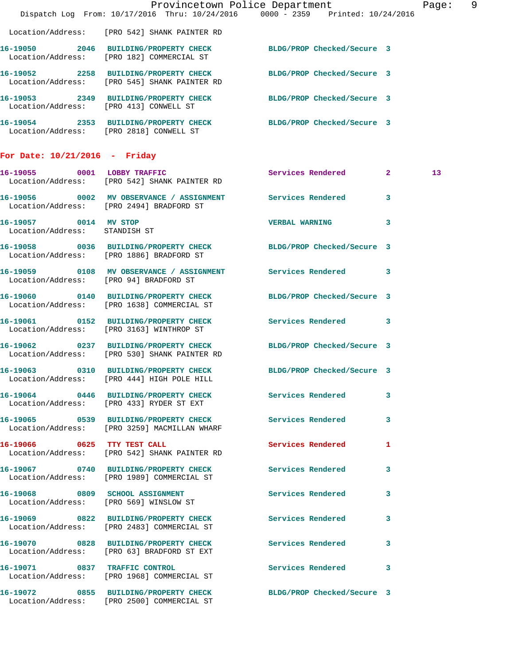|                                                        |                                                                                       | Provincetown Police Department<br>Dispatch Log From: 10/17/2016 Thru: 10/24/2016 0000 - 2359 Printed: 10/24/2016 | Page: 9 |  |
|--------------------------------------------------------|---------------------------------------------------------------------------------------|------------------------------------------------------------------------------------------------------------------|---------|--|
|                                                        | Location/Address: [PRO 542] SHANK PAINTER RD                                          |                                                                                                                  |         |  |
|                                                        | 16-19050 2046 BUILDING/PROPERTY CHECK<br>Location/Address: [PRO 182] COMMERCIAL ST    | BLDG/PROP Checked/Secure 3                                                                                       |         |  |
|                                                        | 16-19052 2258 BUILDING/PROPERTY CHECK<br>Location/Address: [PRO 545] SHANK PAINTER RD | BLDG/PROP Checked/Secure 3                                                                                       |         |  |
| Location/Address: [PRO 413] CONWELL ST                 |                                                                                       | 16-19053 2349 BUILDING/PROPERTY CHECK BLDG/PROP Checked/Secure 3                                                 |         |  |
|                                                        | Location/Address: [PRO 2818] CONWELL ST                                               | 16-19054 2353 BUILDING/PROPERTY CHECK BLDG/PROP Checked/Secure 3                                                 |         |  |
| For Date: $10/21/2016$ - Friday                        |                                                                                       |                                                                                                                  |         |  |
|                                                        | 16-19055 0001 LOBBY TRAFFIC<br>Location/Address: [PRO 542] SHANK PAINTER RD           | Services Rendered 2                                                                                              | 13      |  |
|                                                        | Location/Address: [PRO 2494] BRADFORD ST                                              | 16-19056 0002 MV OBSERVANCE / ASSIGNMENT Services Rendered 3                                                     |         |  |
| 16-19057 0014 MV STOP<br>Location/Address: STANDISH ST |                                                                                       | <b>VERBAL WARNING</b>                                                                                            | 3       |  |
|                                                        | Location/Address: [PRO 1886] BRADFORD ST                                              | 16-19058 0036 BUILDING/PROPERTY CHECK BLDG/PROP Checked/Secure 3                                                 |         |  |
| Location/Address: [PRO 94] BRADFORD ST                 |                                                                                       | 16-19059 0108 MV OBSERVANCE / ASSIGNMENT Services Rendered 3                                                     |         |  |
|                                                        | 16-19060 0140 BUILDING/PROPERTY CHECK<br>Location/Address: [PRO 1638] COMMERCIAL ST   | BLDG/PROP Checked/Secure 3                                                                                       |         |  |
|                                                        | 16-19061 0152 BUILDING/PROPERTY CHECK<br>Location/Address: [PRO 3163] WINTHROP ST     | Services Rendered 3                                                                                              |         |  |
|                                                        | 16-19062 0237 BUILDING/PROPERTY CHECK<br>Location/Address: [PRO 530] SHANK PAINTER RD | BLDG/PROP Checked/Secure 3                                                                                       |         |  |
|                                                        | Location/Address: [PRO 444] HIGH POLE HILL                                            | 16-19063 0310 BUILDING/PROPERTY CHECK BLDG/PROP Checked/Secure 3                                                 |         |  |
|                                                        | Location/Address: [PRO 433] RYDER ST EXT                                              | 16-19064 0446 BUILDING/PROPERTY CHECK Services Rendered 3                                                        |         |  |
|                                                        | Location/Address: [PRO 3259] MACMILLAN WHARF                                          | 16-19065 0539 BUILDING/PROPERTY CHECK Services Rendered 3                                                        |         |  |
| 16-19066 0625 TTY TEST CALL                            | Location/Address: [PRO 542] SHANK PAINTER RD                                          | Services Rendered 1                                                                                              |         |  |
|                                                        | Location/Address: [PRO 1989] COMMERCIAL ST                                            | 16-19067 0740 BUILDING/PROPERTY CHECK Services Rendered 3                                                        |         |  |
|                                                        | 16-19068 0809 SCHOOL ASSIGNMENT<br>Location/Address: [PRO 569] WINSLOW ST             | Services Rendered 3                                                                                              |         |  |
|                                                        | Location/Address: [PRO 2483] COMMERCIAL ST                                            | 16-19069 0822 BUILDING/PROPERTY CHECK Services Rendered 3                                                        |         |  |
|                                                        | Location/Address: [PRO 63] BRADFORD ST EXT                                            | 16-19070 0828 BUILDING/PROPERTY CHECK Services Rendered 3                                                        |         |  |
|                                                        | 16-19071 0837 TRAFFIC CONTROL<br>Location/Address: [PRO 1968] COMMERCIAL ST           | Services Rendered 3                                                                                              |         |  |
|                                                        | 16-19072 0855 BUILDING/PROPERTY CHECK<br>Location/Address: [PRO 2500] COMMERCIAL ST   | BLDG/PROP Checked/Secure 3                                                                                       |         |  |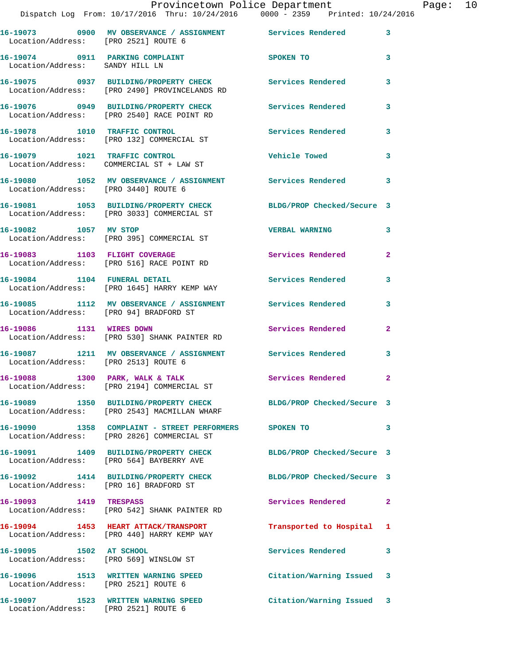|                                                                   | Provincetown Police Department<br>Dispatch Log From: 10/17/2016 Thru: 10/24/2016 0000 - 2359 Printed: 10/24/2016 |                           |                | Page: 10 |  |
|-------------------------------------------------------------------|------------------------------------------------------------------------------------------------------------------|---------------------------|----------------|----------|--|
|                                                                   | 16-19073 0900 MV OBSERVANCE / ASSIGNMENT Services Rendered 3                                                     |                           |                |          |  |
| Location/Address: [PRO 2521] ROUTE 6                              |                                                                                                                  |                           |                |          |  |
| Location/Address: SANDY HILL LN                                   | 16-19074 0911 PARKING COMPLAINT SPOKEN TO                                                                        |                           | $\mathbf{3}$   |          |  |
|                                                                   | 16-19075 0937 BUILDING/PROPERTY CHECK Services Rendered 3<br>Location/Address: [PRO 2490] PROVINCELANDS RD       |                           |                |          |  |
|                                                                   | 16-19076 0949 BUILDING/PROPERTY CHECK Services Rendered 3<br>Location/Address: [PRO 2540] RACE POINT RD          |                           |                |          |  |
|                                                                   | 16-19078 1010 TRAFFIC CONTROL<br>Location/Address: [PRO 132] COMMERCIAL ST                                       | Services Rendered 3       |                |          |  |
|                                                                   | 16-19079 1021 TRAFFIC CONTROL<br>Location/Address: COMMERCIAL ST + LAW ST                                        | Vehicle Towed             | $\mathbf{3}$   |          |  |
| Location/Address: [PRO 3440] ROUTE 6                              | 16-19080 1052 MV OBSERVANCE / ASSIGNMENT Services Rendered 3                                                     |                           |                |          |  |
|                                                                   | 16-19081 1053 BUILDING/PROPERTY CHECK BLDG/PROP Checked/Secure 3<br>Location/Address: [PRO 3033] COMMERCIAL ST   |                           |                |          |  |
| 16-19082 1057 MV STOP                                             | Location/Address: [PRO 395] COMMERCIAL ST                                                                        | VERBAL WARNING 3          |                |          |  |
|                                                                   | 16-19083 1103 FLIGHT COVERAGE<br>Location/Address: [PRO 516] RACE POINT RD                                       | Services Rendered         | $\overline{2}$ |          |  |
|                                                                   | 16-19084 1104 FUNERAL DETAIL <b>16-1908</b> Services Rendered 3<br>Location/Address: [PRO 1645] HARRY KEMP WAY   |                           |                |          |  |
|                                                                   | 16-19085 1112 MV OBSERVANCE / ASSIGNMENT Services Rendered 3<br>Location/Address: [PRO 94] BRADFORD ST           |                           |                |          |  |
| 16-19086 1131 WIRES DOWN                                          | Location/Address: [PRO 530] SHANK PAINTER RD                                                                     | Services Rendered         | $\overline{2}$ |          |  |
| Location/Address: [PRO 2513] ROUTE 6                              | 16-19087 1211 MV OBSERVANCE / ASSIGNMENT Services Rendered 3                                                     |                           |                |          |  |
|                                                                   | 16-19088 1300 PARK, WALK & TALK 1999 Services Rendered<br>Location/Address: [PRO 2194] COMMERCIAL ST             |                           |                |          |  |
|                                                                   | 16-19089 1350 BUILDING/PROPERTY CHECK BLDG/PROP Checked/Secure 3<br>Location/Address: [PRO 2543] MACMILLAN WHARF |                           |                |          |  |
|                                                                   | 16-19090 1358 COMPLAINT - STREET PERFORMERS SPOKEN TO<br>Location/Address: [PRO 2826] COMMERCIAL ST              |                           | 3              |          |  |
|                                                                   | 16-19091 1409 BUILDING/PROPERTY CHECK BLDG/PROP Checked/Secure 3<br>Location/Address: [PRO 564] BAYBERRY AVE     |                           |                |          |  |
| Location/Address: [PRO 16] BRADFORD ST                            | 16-19092 1414 BUILDING/PROPERTY CHECK BLDG/PROP Checked/Secure 3                                                 |                           |                |          |  |
|                                                                   | 16-19093 1419 TRESPASS<br>Location/Address: [PRO 542] SHANK PAINTER RD                                           | Services Rendered         | $\mathbf{2}$   |          |  |
|                                                                   | 16-19094 1453 HEART ATTACK/TRANSPORT<br>Location/Address: [PRO 440] HARRY KEMP WAY                               | Transported to Hospital 1 |                |          |  |
| 16-19095 1502 AT SCHOOL<br>Location/Address: [PRO 569] WINSLOW ST |                                                                                                                  | Services Rendered         | 3              |          |  |
| Location/Address: [PRO 2521] ROUTE 6                              | 16-19096 1513 WRITTEN WARNING SPEED                                                                              | Citation/Warning Issued 3 |                |          |  |
| Location/Address: [PRO 2521] ROUTE 6                              | 16-19097 1523 WRITTEN WARNING SPEED                                                                              | Citation/Warning Issued 3 |                |          |  |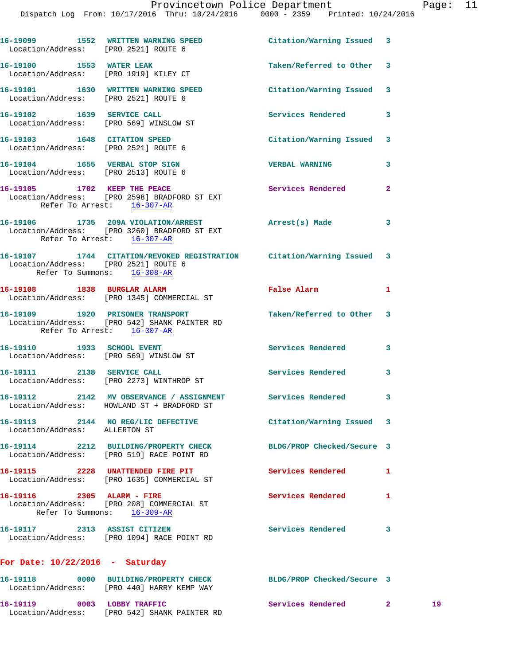| Location/Address: [PRO 2521] ROUTE 6                              | 16-19099 1552 WRITTEN WARNING SPEED Citation/Warning Issued 3                                              |                            |   |  |
|-------------------------------------------------------------------|------------------------------------------------------------------------------------------------------------|----------------------------|---|--|
| 16-19100 1553 WATER LEAK<br>Location/Address: [PRO 1919] KILEY CT |                                                                                                            | Taken/Referred to Other    | 3 |  |
| Location/Address: [PRO 2521] ROUTE 6                              | 16-19101 1630 WRITTEN WARNING SPEED                                                                        | Citation/Warning Issued 3  |   |  |
|                                                                   | 16-19102 1639 SERVICE CALL<br>Location/Address: [PRO 569] WINSLOW ST                                       | Services Rendered          | 3 |  |
| Location/Address: [PRO 2521] ROUTE 6                              | 16-19103 1648 CITATION SPEED                                                                               | Citation/Warning Issued    | 3 |  |
| 16-19104 1655 VERBAL STOP SIGN                                    | Location/Address: [PRO 2513] ROUTE 6                                                                       | <b>VERBAL WARNING</b>      | 3 |  |
| Refer To Arrest: 16-307-AR                                        | 16-19105 1702 KEEP THE PEACE<br>Location/Address: [PRO 2598] BRADFORD ST EXT                               | Services Rendered          | 2 |  |
| Refer To Arrest: 16-307-AR                                        | 16-19106 1735 209A VIOLATION/ARREST<br>Location/Address: [PRO 3260] BRADFORD ST EXT                        | Arrest(s) Made             | 3 |  |
| Location/Address: [PRO 2521] ROUTE 6                              | 16-19107 1744 CITATION/REVOKED REGISTRATION Citation/Warning Issued 3<br>Refer To Summons: 16-308-AR       |                            |   |  |
|                                                                   | 16-19108 1838 BURGLAR ALARM<br>Location/Address: [PRO 1345] COMMERCIAL ST                                  | False Alarm                | 1 |  |
| Refer To Arrest: 16-307-AR                                        | 16-19109 1920 PRISONER TRANSPORT<br>Location/Address: [PRO 542] SHANK PAINTER RD                           | Taken/Referred to Other 3  |   |  |
|                                                                   | 16-19110 1933 SCHOOL EVENT<br>Location/Address: [PRO 569] WINSLOW ST                                       | Services Rendered          | 3 |  |
|                                                                   | 16-19111 2138 SERVICE CALL<br>Location/Address: [PRO 2273] WINTHROP ST                                     | <b>Services Rendered</b>   | 3 |  |
|                                                                   | 16-19112 2142 MV OBSERVANCE / ASSIGNMENT Services Rendered 3<br>Location/Address: HOWLAND ST + BRADFORD ST |                            |   |  |
| Location/Address: ALLERTON ST                                     | 16-19113 2144 NO REG/LIC DEFECTIVE                                                                         | Citation/Warning Issued 3  |   |  |
|                                                                   | 16-19114 2212 BUILDING/PROPERTY CHECK<br>Location/Address: [PRO 519] RACE POINT RD                         | BLDG/PROP Checked/Secure 3 |   |  |
|                                                                   | 16-19115 2228 UNATTENDED FIRE PIT<br>Location/Address: [PRO 1635] COMMERCIAL ST                            | Services Rendered          | 1 |  |
| 16-19116 2305 ALARM - FIRE                                        | Location/Address: [PRO 208] COMMERCIAL ST<br>Refer To Summons: 16-309-AR                                   | <b>Services Rendered</b>   | 1 |  |
|                                                                   | 16-19117 2313 ASSIST CITIZEN<br>Location/Address: [PRO 1094] RACE POINT RD                                 | Services Rendered          | 3 |  |
| For Date: $10/22/2016$ - Saturday                                 |                                                                                                            |                            |   |  |
|                                                                   | 16-19118 0000 BUILDING/PROPERTY CHECK<br>Location/Address: [PRO 440] HARRY KEMP WAY                        | BLDG/PROP Checked/Secure 3 |   |  |
| 16-19119 0003 LOBBY TRAFFIC                                       |                                                                                                            | Services Rendered 2 19     |   |  |

Location/Address: [PRO 542] SHANK PAINTER RD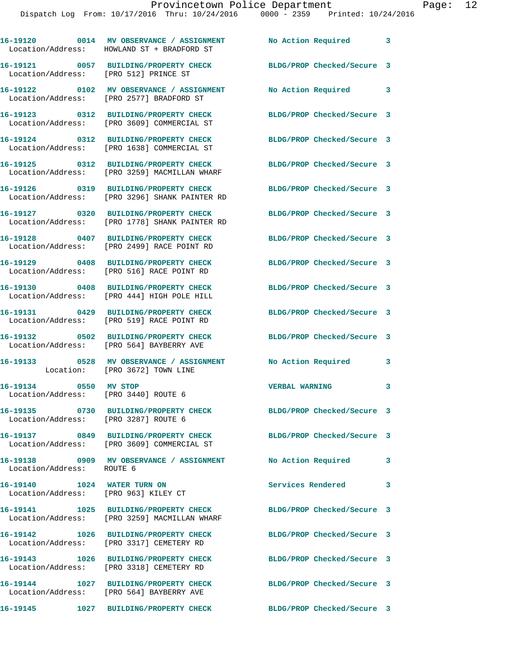|                                                                     | 16-19120 0014 MV OBSERVANCE / ASSIGNMENT No Action Required 3<br>Location/Address: HOWLAND ST + BRADFORD ST       |                            |              |
|---------------------------------------------------------------------|-------------------------------------------------------------------------------------------------------------------|----------------------------|--------------|
|                                                                     | 16-19121 0057 BUILDING/PROPERTY CHECK<br>Location/Address: [PRO 512] PRINCE ST                                    | BLDG/PROP Checked/Secure 3 |              |
|                                                                     | 16-19122 0102 MV OBSERVANCE / ASSIGNMENT<br>Location/Address: [PRO 2577] BRADFORD ST                              | No Action Required 3       |              |
|                                                                     | 16-19123 0312 BUILDING/PROPERTY CHECK<br>Location/Address: [PRO 3609] COMMERCIAL ST                               | BLDG/PROP Checked/Secure 3 |              |
|                                                                     | 16-19124 0312 BUILDING/PROPERTY CHECK<br>Location/Address: [PRO 1638] COMMERCIAL ST                               | BLDG/PROP Checked/Secure 3 |              |
|                                                                     | 16-19125 0312 BUILDING/PROPERTY CHECK BLDG/PROP Checked/Secure 3<br>Location/Address: [PRO 3259] MACMILLAN WHARF  |                            |              |
|                                                                     | 16-19126 0319 BUILDING/PROPERTY CHECK BLDG/PROP Checked/Secure 3<br>Location/Address: [PRO 3296] SHANK PAINTER RD |                            |              |
|                                                                     | 16-19127 0320 BUILDING/PROPERTY CHECK BLDG/PROP Checked/Secure 3<br>Location/Address: [PRO 1778] SHANK PAINTER RD |                            |              |
|                                                                     | 16-19128 0407 BUILDING/PROPERTY CHECK BLDG/PROP Checked/Secure 3<br>Location/Address: [PRO 2499] RACE POINT RD    |                            |              |
|                                                                     | 16-19129 0408 BUILDING/PROPERTY CHECK<br>Location/Address: [PRO 516] RACE POINT RD                                | BLDG/PROP Checked/Secure 3 |              |
|                                                                     | 16-19130 0408 BUILDING/PROPERTY CHECK<br>Location/Address: [PRO 444] HIGH POLE HILL                               | BLDG/PROP Checked/Secure 3 |              |
|                                                                     | 16-19131 0429 BUILDING/PROPERTY CHECK<br>Location/Address: [PRO 519] RACE POINT RD                                | BLDG/PROP Checked/Secure 3 |              |
|                                                                     | 16-19132 0502 BUILDING/PROPERTY CHECK BLDG/PROP Checked/Secure 3<br>Location/Address: [PRO 564] BAYBERRY AVE      |                            |              |
|                                                                     | 16-19133 0528 MV OBSERVANCE / ASSIGNMENT No Action Required 3<br>Location: [PRO 3672] TOWN LINE                   |                            |              |
| 16-19134 0550 MV STOP<br>Location/Address: [PRO 3440] ROUTE 6       |                                                                                                                   | <b>VERBAL WARNING</b>      | 3            |
| Location/Address: [PRO 3287] ROUTE 6                                | 16-19135 0730 BUILDING/PROPERTY CHECK                                                                             | BLDG/PROP Checked/Secure 3 |              |
|                                                                     | 16-19137 0849 BUILDING/PROPERTY CHECK<br>Location/Address: [PRO 3609] COMMERCIAL ST                               | BLDG/PROP Checked/Secure 3 |              |
| Location/Address: ROUTE 6                                           | 16-19138 0909 MV OBSERVANCE / ASSIGNMENT                                                                          | No Action Required 3       |              |
| 16-19140 1024 WATER TURN ON<br>Location/Address: [PRO 963] KILEY CT |                                                                                                                   | <b>Services Rendered</b>   | $\mathbf{3}$ |
|                                                                     | 16-19141 1025 BUILDING/PROPERTY CHECK<br>Location/Address: [PRO 3259] MACMILLAN WHARF                             | BLDG/PROP Checked/Secure 3 |              |
|                                                                     | 16-19142 1026 BUILDING/PROPERTY CHECK<br>Location/Address: [PRO 3317] CEMETERY RD                                 | BLDG/PROP Checked/Secure 3 |              |
|                                                                     | 16-19143 1026 BUILDING/PROPERTY CHECK<br>Location/Address: [PRO 3318] CEMETERY RD                                 | BLDG/PROP Checked/Secure 3 |              |
|                                                                     | 16-19144 1027 BUILDING/PROPERTY CHECK<br>Location/Address: [PRO 564] BAYBERRY AVE                                 | BLDG/PROP Checked/Secure 3 |              |
|                                                                     | 16-19145 1027 BUILDING/PROPERTY CHECK                                                                             | BLDG/PROP Checked/Secure 3 |              |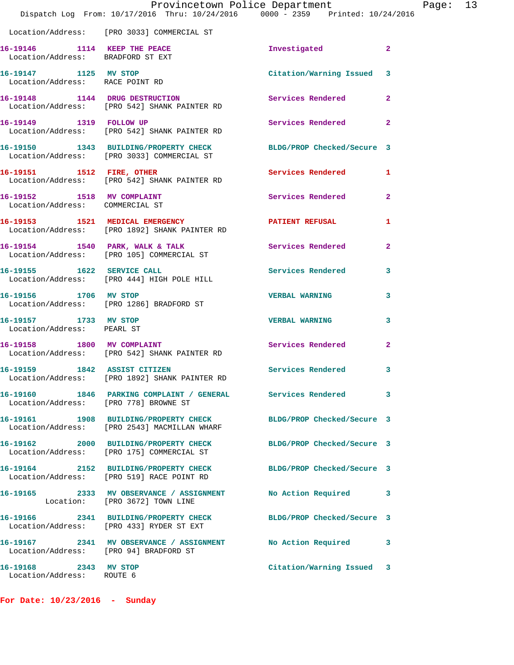|                                                                   | Provincetown Police Department<br>Dispatch Log From: 10/17/2016 Thru: 10/24/2016 0000 - 2359 Printed: 10/24/2016 |                            |                |
|-------------------------------------------------------------------|------------------------------------------------------------------------------------------------------------------|----------------------------|----------------|
|                                                                   | Location/Address: [PRO 3033] COMMERCIAL ST                                                                       |                            |                |
| 16-19146 1114 KEEP THE PEACE<br>Location/Address: BRADFORD ST EXT |                                                                                                                  | Investigated               | $\mathbf{2}$   |
| 16-19147 1125 MV STOP<br>Location/Address: RACE POINT RD          |                                                                                                                  | Citation/Warning Issued    | 3              |
|                                                                   | 16-19148 1144 DRUG DESTRUCTION<br>Location/Address: [PRO 542] SHANK PAINTER RD                                   | <b>Services Rendered</b>   | $\mathbf{2}$   |
| 16-19149   1319   FOLLOW UP                                       | Location/Address: [PRO 542] SHANK PAINTER RD                                                                     | Services Rendered          | $\overline{2}$ |
|                                                                   | 16-19150 1343 BUILDING/PROPERTY CHECK<br>Location/Address: [PRO 3033] COMMERCIAL ST                              | BLDG/PROP Checked/Secure 3 |                |
| 16-19151 1512 FIRE, OTHER                                         | Location/Address: [PRO 542] SHANK PAINTER RD                                                                     | Services Rendered          | 1              |
| 16-19152 1518 MV COMPLAINT<br>Location/Address: COMMERCIAL ST     |                                                                                                                  | <b>Services Rendered</b>   | $\mathbf{2}$   |
|                                                                   | 16-19153 1521 MEDICAL EMERGENCY<br>Location/Address: [PRO 1892] SHANK PAINTER RD                                 | <b>PATIENT REFUSAL</b>     | 1              |
|                                                                   | 16-19154 1540 PARK, WALK & TALK<br>Location/Address: [PRO 105] COMMERCIAL ST                                     | <b>Services Rendered</b>   | $\overline{2}$ |
|                                                                   | 16-19155 1622 SERVICE CALL<br>Location/Address: [PRO 444] HIGH POLE HILL                                         | <b>Services Rendered</b>   | 3              |
| 16-19156 1706 MV STOP                                             | Location/Address: [PRO 1286] BRADFORD ST                                                                         | <b>VERBAL WARNING</b>      | 3              |
| 16-19157 1733 MV STOP<br>Location/Address: PEARL ST               |                                                                                                                  | <b>VERBAL WARNING</b>      | 3              |
| 16-19158 1800 MV COMPLAINT                                        | Location/Address: [PRO 542] SHANK PAINTER RD                                                                     | Services Rendered          | $\overline{2}$ |
| 16-19159 1842 ASSIST CITIZEN                                      | Location/Address: [PRO 1892] SHANK PAINTER RD                                                                    | Services Rendered          | 3              |
| Location/Address: [PRO 778] BROWNE ST                             | 16-19160 1846 PARKING COMPLAINT / GENERAL Services Rendered                                                      |                            | 3              |
|                                                                   | 16-19161 1908 BUILDING/PROPERTY CHECK BLDG/PROP Checked/Secure 3<br>Location/Address: [PRO 2543] MACMILLAN WHARF |                            |                |
|                                                                   | 16-19162 2000 BUILDING/PROPERTY CHECK<br>Location/Address: [PRO 175] COMMERCIAL ST                               | BLDG/PROP Checked/Secure 3 |                |
|                                                                   | 16-19164 2152 BUILDING/PROPERTY CHECK<br>Location/Address: [PRO 519] RACE POINT RD                               | BLDG/PROP Checked/Secure 3 |                |
|                                                                   | Location: [PRO 3672] TOWN LINE                                                                                   | No Action Required         | 3              |
|                                                                   | 16-19166 2341 BUILDING/PROPERTY CHECK<br>Location/Address: [PRO 433] RYDER ST EXT                                | BLDG/PROP Checked/Secure 3 |                |
| Location/Address: [PRO 94] BRADFORD ST                            | 16-19167 2341 MV OBSERVANCE / ASSIGNMENT No Action Required                                                      |                            | 3              |
| 16-19168 2343 MV STOP<br>Location/Address: ROUTE 6                |                                                                                                                  | Citation/Warning Issued    | 3              |

**For Date: 10/23/2016 - Sunday**

Page:  $13$ <br>16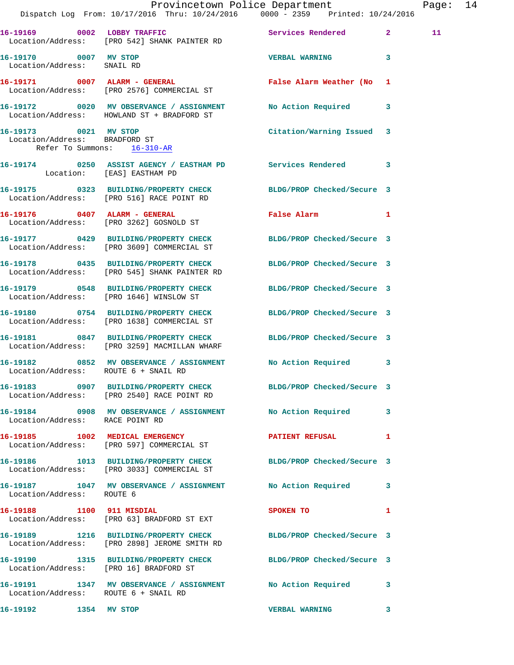|                                                        |                                                                             | Provincetown Police Department                                                                                   | Page: 14 |  |
|--------------------------------------------------------|-----------------------------------------------------------------------------|------------------------------------------------------------------------------------------------------------------|----------|--|
|                                                        |                                                                             | Dispatch Log From: 10/17/2016 Thru: 10/24/2016 0000 - 2359 Printed: 10/24/2016                                   |          |  |
|                                                        | Location/Address: [PRO 542] SHANK PAINTER RD                                | 16-19169 0002 LOBBY TRAFFIC Services Rendered 2                                                                  | 11       |  |
| 16-19170 0007 MV STOP<br>Location/Address: SNAIL RD    |                                                                             | <b>VERBAL WARNING 3</b>                                                                                          |          |  |
|                                                        | 16-19171 0007 ALARM - GENERAL<br>Location/Address: [PRO 2576] COMMERCIAL ST | False Alarm Weather (No 1                                                                                        |          |  |
|                                                        | Location/Address: HOWLAND ST + BRADFORD ST                                  | 16-19172 0020 MV OBSERVANCE / ASSIGNMENT No Action Required 3                                                    |          |  |
| 16-19173 0021 MV STOP<br>Location/Address: BRADFORD ST | Refer To Summons: 16-310-AR                                                 | Citation/Warning Issued 3                                                                                        |          |  |
| Location: [EAS] EASTHAM PD                             |                                                                             | 16-19174 0250 ASSIST AGENCY / EASTHAM PD Services Rendered 3                                                     |          |  |
|                                                        | Location/Address: [PRO 516] RACE POINT RD                                   | 16-19175 0323 BUILDING/PROPERTY CHECK BLDG/PROP Checked/Secure 3                                                 |          |  |
|                                                        | 16-19176 0407 ALARM - GENERAL<br>Location/Address: [PRO 3262] GOSNOLD ST    | False Alarm 1                                                                                                    |          |  |
|                                                        | Location/Address: [PRO 3609] COMMERCIAL ST                                  | 16-19177 0429 BUILDING/PROPERTY CHECK BLDG/PROP Checked/Secure 3                                                 |          |  |
|                                                        |                                                                             | 16-19178 0435 BUILDING/PROPERTY CHECK BLDG/PROP Checked/Secure 3<br>Location/Address: [PRO 545] SHANK PAINTER RD |          |  |
|                                                        | Location/Address: [PRO 1646] WINSLOW ST                                     | 16-19179 0548 BUILDING/PROPERTY CHECK BLDG/PROP Checked/Secure 3                                                 |          |  |
|                                                        | Location/Address: [PRO 1638] COMMERCIAL ST                                  | 16-19180 0754 BUILDING/PROPERTY CHECK BLDG/PROP Checked/Secure 3                                                 |          |  |
|                                                        | Location/Address: [PRO 3259] MACMILLAN WHARF                                | 16-19181 0847 BUILDING/PROPERTY CHECK BLDG/PROP Checked/Secure 3                                                 |          |  |
| Location/Address: ROUTE 6 + SNAIL RD                   |                                                                             | 16-19182 0852 MV OBSERVANCE / ASSIGNMENT No Action Required 3                                                    |          |  |
|                                                        | Location/Address: [PRO 2540] RACE POINT RD                                  | 16-19183 0907 BUILDING/PROPERTY CHECK BLDG/PROP Checked/Secure 3                                                 |          |  |
| Location/Address: RACE POINT RD                        |                                                                             | 16-19184 0908 MV OBSERVANCE / ASSIGNMENT No Action Required 3                                                    |          |  |
|                                                        | Location/Address: [PRO 597] COMMERCIAL ST                                   | 16-19185 1002 MEDICAL EMERGENCY 1 PATIENT REFUSAL 1                                                              |          |  |
|                                                        | Location/Address: [PRO 3033] COMMERCIAL ST                                  | 16-19186 1013 BUILDING/PROPERTY CHECK BLDG/PROP Checked/Secure 3                                                 |          |  |
| Location/Address: ROUTE 6                              |                                                                             | 16-19187 1047 MV OBSERVANCE / ASSIGNMENT NO Action Required 3                                                    |          |  |
|                                                        | 16-19188 1100 911 MISDIAL<br>Location/Address: [PRO 63] BRADFORD ST EXT     | SPOKEN TO AND THE SPOKEN TO<br>$\blacksquare$                                                                    |          |  |
|                                                        | Location/Address: [PRO 2898] JEROME SMITH RD                                | 16-19189 1216 BUILDING/PROPERTY CHECK BLDG/PROP Checked/Secure 3                                                 |          |  |
|                                                        | Location/Address: [PRO 16] BRADFORD ST                                      | 16-19190 1315 BUILDING/PROPERTY CHECK BLDG/PROP Checked/Secure 3                                                 |          |  |
| Location/Address: ROUTE 6 + SNAIL RD                   |                                                                             | 16-19191 1347 MV OBSERVANCE / ASSIGNMENT NO Action Required 3                                                    |          |  |
| 16-19192 1354 MV STOP                                  |                                                                             | VERBAL WARNING 3                                                                                                 |          |  |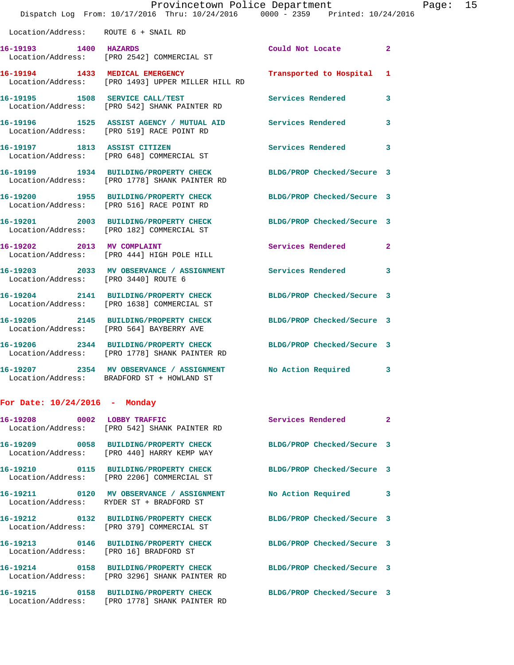|                                      | Dispatch Log From: 10/17/2016 Thru: 10/24/2016 0000 - 2359 Printed: 10/24/2016                                    | Provincetown Police Department | Page: 15       |  |
|--------------------------------------|-------------------------------------------------------------------------------------------------------------------|--------------------------------|----------------|--|
| Location/Address: ROUTE 6 + SNAIL RD |                                                                                                                   |                                |                |  |
| 16-19193 1400 HAZARDS                | Location/Address: [PRO 2542] COMMERCIAL ST                                                                        | Could Not Locate 2             |                |  |
|                                      | 16-19194 1433 MEDICAL EMERGENCY<br>Location/Address: [PRO 1493] UPPER MILLER HILL RD                              | Transported to Hospital 1      |                |  |
|                                      |                                                                                                                   | Services Rendered              | 3              |  |
|                                      | 16-19196 1525 ASSIST AGENCY / MUTUAL AID Services Rendered<br>Location/Address: [PRO 519] RACE POINT RD           |                                | 3              |  |
|                                      | 16-19197 1813 ASSIST CITIZEN<br>Location/Address: [PRO 648] COMMERCIAL ST                                         | <b>Services Rendered</b>       | 3              |  |
|                                      | 16-19199 1934 BUILDING/PROPERTY CHECK BLDG/PROP Checked/Secure 3<br>Location/Address: [PRO 1778] SHANK PAINTER RD |                                |                |  |
|                                      | 16-19200 1955 BUILDING/PROPERTY CHECK BLDG/PROP Checked/Secure 3<br>Location/Address: [PRO 516] RACE POINT RD     |                                |                |  |
|                                      | 16-19201 2003 BUILDING/PROPERTY CHECK BLDG/PROP Checked/Secure 3<br>Location/Address: [PRO 182] COMMERCIAL ST     |                                |                |  |
|                                      | 16-19202 2013 MV COMPLAINT<br>Location/Address: [PRO 444] HIGH POLE HILL                                          | Services Rendered              | $\overline{2}$ |  |
| Location/Address: [PRO 3440] ROUTE 6 | 16-19203 2033 MV OBSERVANCE / ASSIGNMENT Services Rendered                                                        |                                | 3              |  |
|                                      | 16-19204 2141 BUILDING/PROPERTY CHECK BLDG/PROP Checked/Secure 3<br>Location/Address: [PRO 1638] COMMERCIAL ST    |                                |                |  |
|                                      | 16-19205 2145 BUILDING/PROPERTY CHECK<br>Location/Address: [PRO 564] BAYBERRY AVE                                 | BLDG/PROP Checked/Secure 3     |                |  |
|                                      | 16-19206 2344 BUILDING/PROPERTY CHECK BLDG/PROP Checked/Secure 3<br>Location/Address: [PRO 1778] SHANK PAINTER RD |                                |                |  |
|                                      | 16-19207 2354 MV OBSERVANCE / ASSIGNMENT No Action Required 3<br>Location/Address: BRADFORD ST + HOWLAND ST       |                                |                |  |
|                                      |                                                                                                                   |                                |                |  |

## **For Date: 10/24/2016 - Monday**

|                                        | 16-19208 0002 LOBBY TRAFFIC<br>Location/Address: [PRO 542] SHANK PAINTER RD                                                 | Services Rendered 2        |  |
|----------------------------------------|-----------------------------------------------------------------------------------------------------------------------------|----------------------------|--|
|                                        | 16-19209      0058  BUILDING/PROPERTY CHECK        BLDG/PROP Checked/Secure 3<br>Location/Address: [PRO 440] HARRY KEMP WAY |                            |  |
|                                        | 16-19210 0115 BUILDING/PROPERTY CHECK<br>Location/Address: [PRO 2206] COMMERCIAL ST                                         | BLDG/PROP Checked/Secure 3 |  |
|                                        | Location/Address: RYDER ST + BRADFORD ST                                                                                    |                            |  |
|                                        | 16-19212  0132 BUILDING/PROPERTY CHECK BLDG/PROP Checked/Secure 3<br>Location/Address: [PRO 379] COMMERCIAL ST              |                            |  |
| Location/Address: [PRO 16] BRADFORD ST | 16-19213 0146 BUILDING/PROPERTY CHECK                                                                                       | BLDG/PROP Checked/Secure 3 |  |
| Location/Address:                      | [PRO 3296] SHANK PAINTER RD                                                                                                 | BLDG/PROP Checked/Secure 3 |  |
| Location/Address:                      | [PRO 1778] SHANK PAINTER RD                                                                                                 | BLDG/PROP Checked/Secure 3 |  |